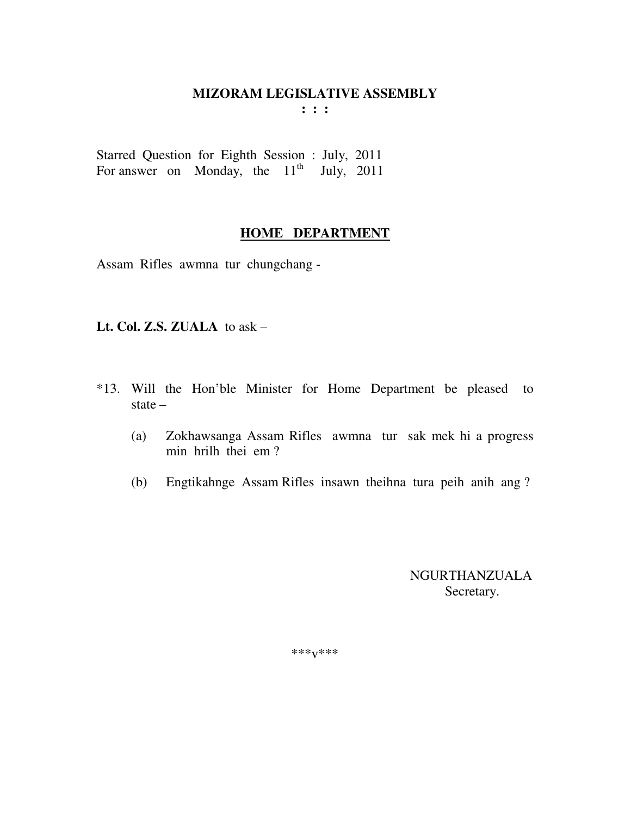### **MIZORAM LEGISLATIVE ASSEMBLY**

**: : :** 

Starred Question for Eighth Session : July, 2011 For answer on Monday, the  $11<sup>th</sup>$  July, 2011

#### **HOME DEPARTMENT**

Assam Rifles awmna tur chungchang -

#### **Lt. Col. Z.S. ZUALA** to ask –

- \*13. Will the Hon'ble Minister for Home Department be pleased to state –
	- (a) Zokhawsanga Assam Rifles awmna tur sak mek hi a progress min hrilh thei em ?
	- (b) Engtikahnge Assam Rifles insawn theihna tura peih anih ang ?

 NGURTHANZUALA Secretary.

\*\*\*v\*\*\*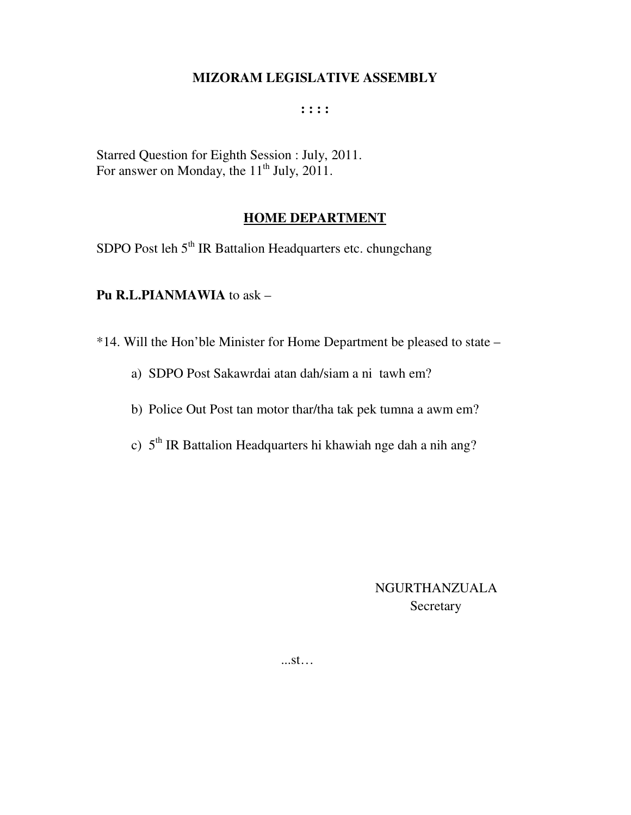### **MIZORAM LEGISLATIVE ASSEMBLY**

#### **: : : :**

Starred Question for Eighth Session : July, 2011. For answer on Monday, the  $11<sup>th</sup>$  July, 2011.

### **HOME DEPARTMENT**

SDPO Post leh 5<sup>th</sup> IR Battalion Headquarters etc. chungchang

#### **Pu R.L.PIANMAWIA** to ask –

\*14. Will the Hon'ble Minister for Home Department be pleased to state –

- a) SDPO Post Sakawrdai atan dah/siam a ni tawh em?
- b) Police Out Post tan motor thar/tha tak pek tumna a awm em?
- c) 5<sup>th</sup> IR Battalion Headquarters hi khawiah nge dah a nih ang?

# NGURTHANZUALA Secretary

...st…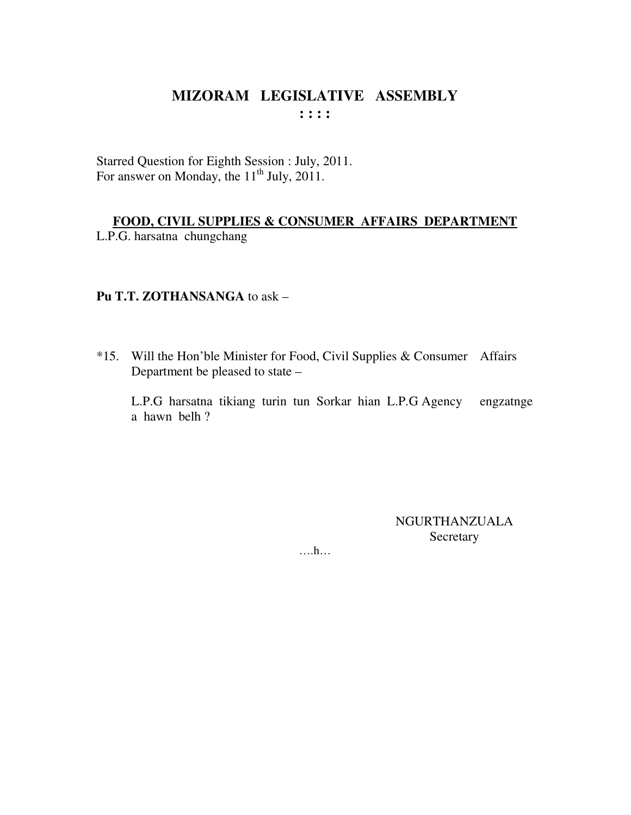Starred Question for Eighth Session : July, 2011. For answer on Monday, the  $11<sup>th</sup>$  July, 2011.

# FOOD, CIVIL SUPPLIES & CONSUMER AFFAIRS DEPARTMENT

L.P.G. harsatna chungchang

# Pu T.T. ZOTHANSANGA to ask -

\*15. Will the Hon'ble Minister for Food, Civil Supplies & Consumer Affairs Department be pleased to state -

L.P.G harsatna tikiang turin tun Sorkar hian L.P.G Agency engzatnge a hawn belh?

> **NGURTHANZUALA** Secretary

 $\dots$ ...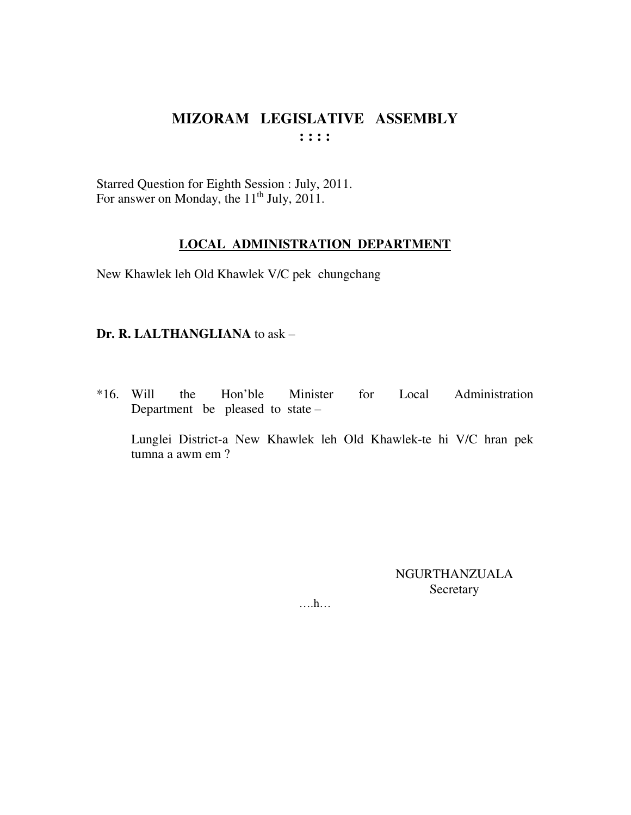Starred Question for Eighth Session : July, 2011. For answer on Monday, the  $11<sup>th</sup>$  July, 2011.

#### **LOCAL ADMINISTRATION DEPARTMENT**

New Khawlek leh Old Khawlek V/C pek chungchang

#### **Dr. R. LALTHANGLIANA** to ask –

\*16. Will the Hon'ble Minister for Local Administration Department be pleased to state –

 Lunglei District-a New Khawlek leh Old Khawlek-te hi V/C hran pek tumna a awm em ?

> NGURTHANZUALA Secretary

….h…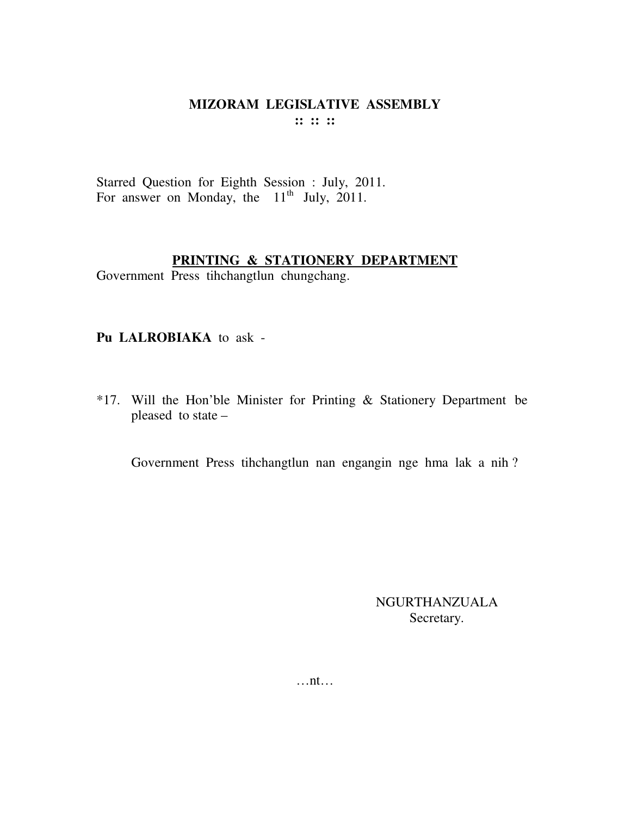Starred Question for Eighth Session : July, 2011. For answer on Monday, the  $11<sup>th</sup>$  July, 2011.

#### **PRINTING & STATIONERY DEPARTMENT**

Government Press tihchangtlun chungchang.

#### **Pu LALROBIAKA** to ask -

\*17. Will the Hon'ble Minister for Printing & Stationery Department be pleased to state –

Government Press tihchangtlun nan engangin nge hma lak a nih ?

NGURTHANZUALA Secretary.

…nt…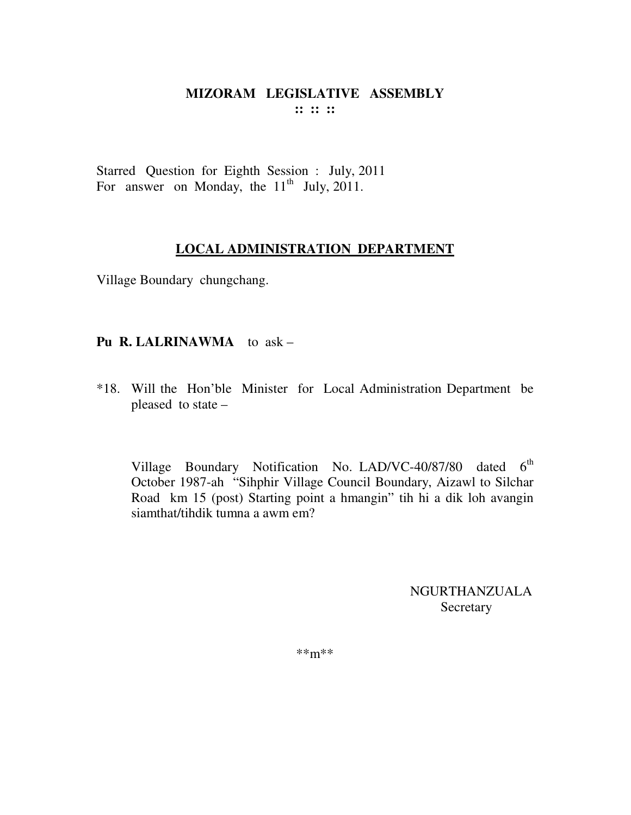Starred Question for Eighth Session : July, 2011 For answer on Monday, the  $11<sup>th</sup>$  July, 2011.

### **LOCAL ADMINISTRATION DEPARTMENT**

Village Boundary chungchang.

### **Pu R. LALRINAWMA** to ask –

\*18. Will the Hon'ble Minister for Local Administration Department be pleased to state –

Village Boundary Notification No. LAD/VC-40/87/80 dated  $6<sup>th</sup>$ October 1987-ah "Sihphir Village Council Boundary, Aizawl to Silchar Road km 15 (post) Starting point a hmangin" tih hi a dik loh avangin siamthat/tihdik tumna a awm em?

> NGURTHANZUALA **Secretary**

\*\*m\*\*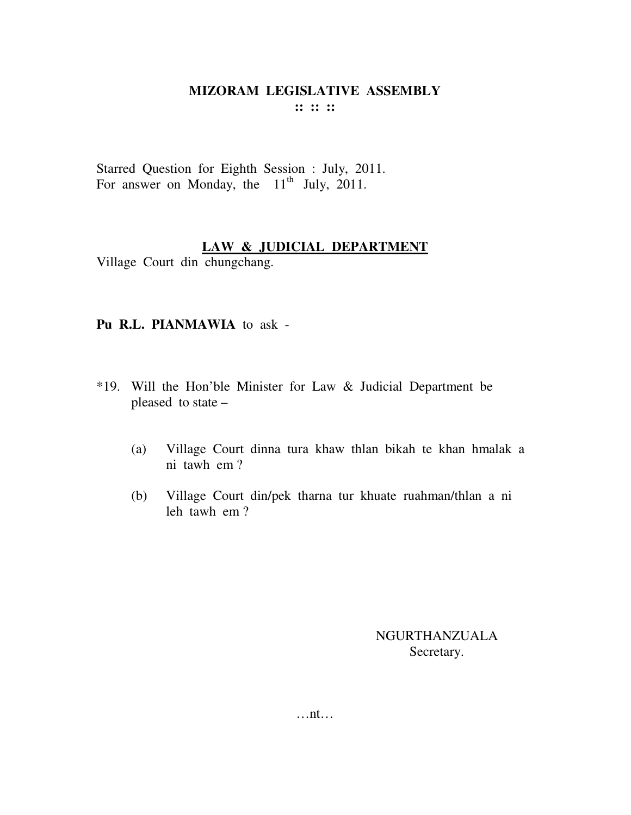Starred Question for Eighth Session : July, 2011. For answer on Monday, the  $11<sup>th</sup>$  July, 2011.

### **LAW & JUDICIAL DEPARTMENT**

Village Court din chungchang.

### **Pu R.L. PIANMAWIA** to ask -

- \*19. Will the Hon'ble Minister for Law & Judicial Department be pleased to state –
	- (a) Village Court dinna tura khaw thlan bikah te khan hmalak a ni tawh em ?
	- (b) Village Court din/pek tharna tur khuate ruahman/thlan a ni leh tawh em ?

NGURTHANZUALA Secretary.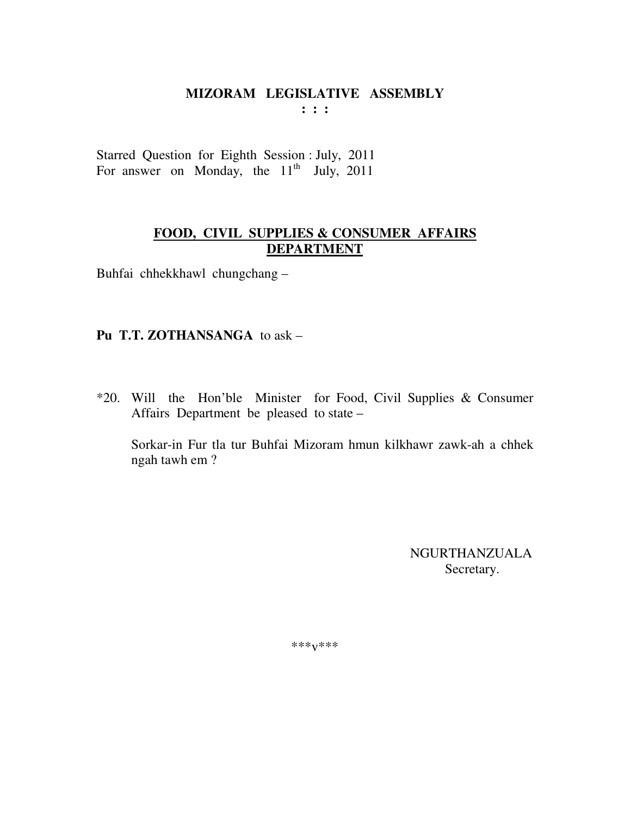# MIZORAM LEGISLATIVE ASSEMBLY

 $: : :$ 

Starred Question for Eighth Session : July, 2011 For answer on Monday, the  $11<sup>th</sup>$  July, 2011

### FOOD, CIVIL SUPPLIES & CONSUMER AFFAIRS **DEPARTMENT**

Buhfai chhekkhawl chungchang-

### Pu T.T. ZOTHANSANGA to ask -

\*20. Will the Hon'ble Minister for Food, Civil Supplies & Consumer Affairs Department be pleased to state –

Sorkar-in Fur tla tur Buhfai Mizoram hmun kilkhawr zawk-ah a chhek ngah tawh em?

> **NGURTHANZUALA** Secretary.

\*\*\* $V$ \*\*\*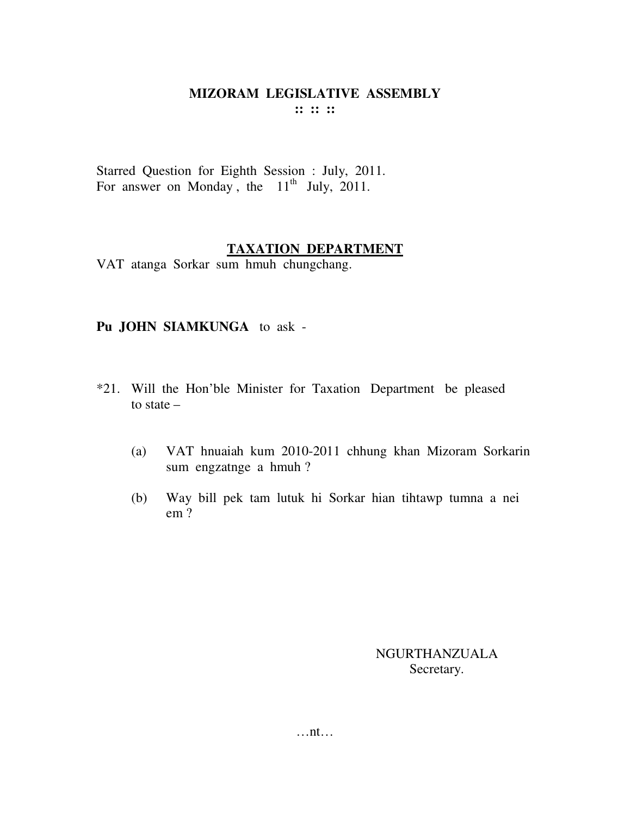Starred Question for Eighth Session : July, 2011. For answer on Monday, the  $11<sup>th</sup>$  July, 2011.

#### **TAXATION DEPARTMENT**

VAT atanga Sorkar sum hmuh chungchang.

### **Pu JOHN SIAMKUNGA** to ask -

- \*21. Will the Hon'ble Minister for Taxation Department be pleased to state –
	- (a) VAT hnuaiah kum 2010-2011 chhung khan Mizoram Sorkarin sum engzatnge a hmuh ?
	- (b) Way bill pek tam lutuk hi Sorkar hian tihtawp tumna a nei em ?

NGURTHANZUALA Secretary.